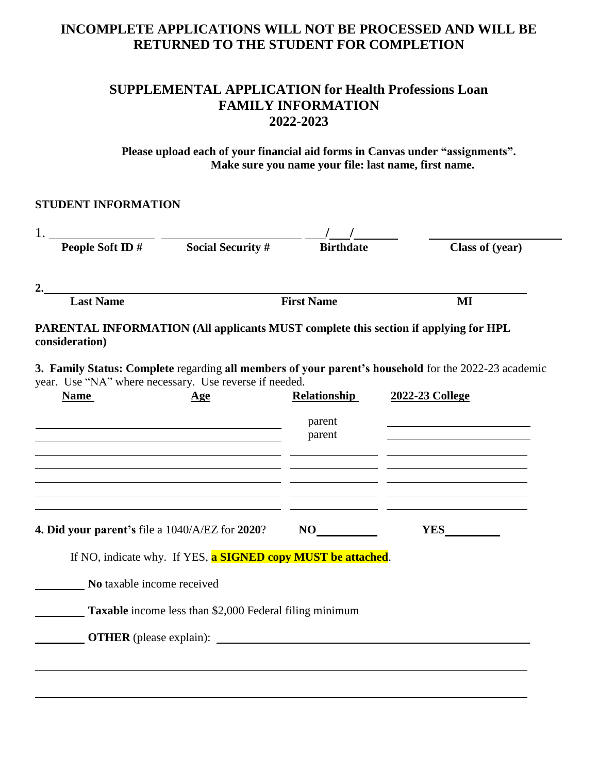# **INCOMPLETE APPLICATIONS WILL NOT BE PROCESSED AND WILL BE RETURNED TO THE STUDENT FOR COMPLETION**

## **SUPPLEMENTAL APPLICATION for Health Professions Loan FAMILY INFORMATION 2022-2023**

**Please upload each of your financial aid forms in Canvas under "assignments". Make sure you name your file: last name, first name.**

| People Soft ID#                                                       | <b>Social Security #</b>                                                                  | <b>Birthdate</b>    | Class of (year)                                                                                                         |
|-----------------------------------------------------------------------|-------------------------------------------------------------------------------------------|---------------------|-------------------------------------------------------------------------------------------------------------------------|
|                                                                       |                                                                                           |                     |                                                                                                                         |
|                                                                       |                                                                                           |                     |                                                                                                                         |
| <b>Last Name</b>                                                      |                                                                                           | <b>First Name</b>   | MI                                                                                                                      |
| consideration)                                                        |                                                                                           |                     | PARENTAL INFORMATION (All applicants MUST complete this section if applying for HPL                                     |
| year. Use "NA" where necessary. Use reverse if needed.<br><b>Name</b> | <u>Age</u>                                                                                | <b>Relationship</b> | 3. Family Status: Complete regarding all members of your parent's household for the 2022-23 academic<br>2022-23 College |
|                                                                       |                                                                                           |                     |                                                                                                                         |
|                                                                       |                                                                                           | parent<br>parent    |                                                                                                                         |
|                                                                       |                                                                                           |                     |                                                                                                                         |
|                                                                       | <u> 1989 - Johann Barbara, martxa alemaniar amerikan a</u>                                |                     |                                                                                                                         |
| 4. Did your parent's file a 1040/A/EZ for 2020?                       | the control of the control of the control of the control of the control of the control of | NO                  | <b>YES</b>                                                                                                              |
|                                                                       | If NO, indicate why. If YES, a SIGNED copy MUST be attached.                              |                     |                                                                                                                         |
|                                                                       |                                                                                           |                     |                                                                                                                         |
| No taxable income received                                            |                                                                                           |                     |                                                                                                                         |
|                                                                       | <b>Taxable</b> income less than \$2,000 Federal filing minimum                            |                     |                                                                                                                         |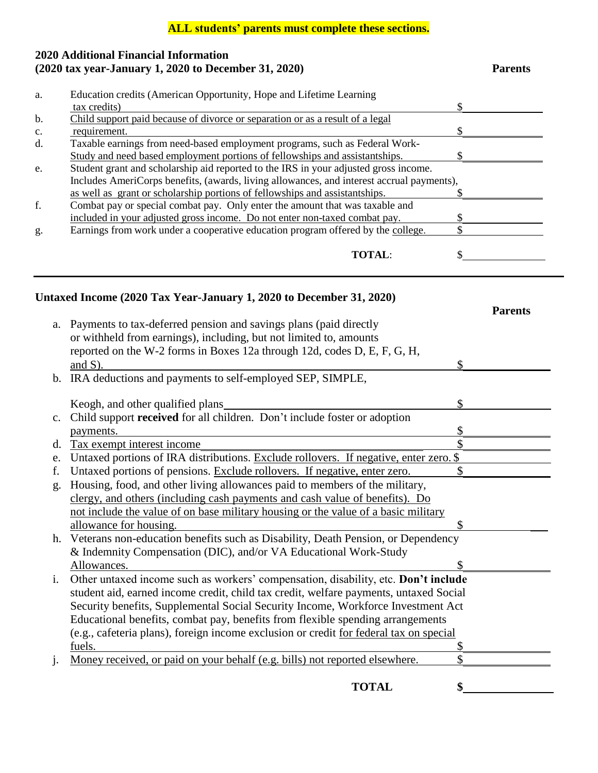### **ALL students' parents must complete these sections.**

### **2020 Additional Financial Information (2020 tax year-January 1, 2020 to December 31, 2020) Parents**

| a. | Education credits (American Opportunity, Hope and Lifetime Learning                       |  |
|----|-------------------------------------------------------------------------------------------|--|
|    | tax credits)                                                                              |  |
| b. | Child support paid because of divorce or separation or as a result of a legal             |  |
| c. | requirement.                                                                              |  |
| d. | Taxable earnings from need-based employment programs, such as Federal Work-               |  |
|    | Study and need based employment portions of fellowships and assistantships.               |  |
| e. | Student grant and scholarship aid reported to the IRS in your adjusted gross income.      |  |
|    | Includes AmeriCorps benefits, (awards, living allowances, and interest accrual payments), |  |
|    | as well as grant or scholarship portions of fellowships and assistantships.               |  |
| f. | Combat pay or special combat pay. Only enter the amount that was taxable and              |  |
|    | included in your adjusted gross income. Do not enter non-taxed combat pay.                |  |
| g. | Earnings from work under a cooperative education program offered by the college.          |  |
|    |                                                                                           |  |
|    | TOTAI:                                                                                    |  |
|    |                                                                                           |  |

## **Untaxed Income (2020 Tax Year-January 1, 2020 to December 31, 2020)**

|                |                                                                                        | <b>Parents</b> |
|----------------|----------------------------------------------------------------------------------------|----------------|
| a.             | Payments to tax-deferred pension and savings plans (paid directly                      |                |
|                | or withheld from earnings), including, but not limited to, amounts                     |                |
|                | reported on the W-2 forms in Boxes 12a through 12d, codes D, E, F, G, H,               |                |
|                | and $S$ ).                                                                             |                |
|                | b. IRA deductions and payments to self-employed SEP, SIMPLE,                           |                |
|                |                                                                                        |                |
|                | Keogh, and other qualified plans                                                       |                |
| $C_{\bullet}$  | Child support received for all children. Don't include foster or adoption              |                |
|                | payments.                                                                              |                |
| d.             | Tax exempt interest income                                                             |                |
| e.             | Untaxed portions of IRA distributions. Exclude rollovers. If negative, enter zero. \$  |                |
| f.             | Untaxed portions of pensions. Exclude rollovers. If negative, enter zero.              |                |
| g.             | Housing, food, and other living allowances paid to members of the military,            |                |
|                | clergy, and others (including cash payments and cash value of benefits). Do            |                |
|                | not include the value of on base military housing or the value of a basic military     |                |
|                | allowance for housing.                                                                 |                |
|                | h. Veterans non-education benefits such as Disability, Death Pension, or Dependency    |                |
|                | & Indemnity Compensation (DIC), and/or VA Educational Work-Study                       |                |
|                | Allowances.                                                                            |                |
| $\mathbf{i}$ . | Other untaxed income such as workers' compensation, disability, etc. Don't include     |                |
|                | student aid, earned income credit, child tax credit, welfare payments, untaxed Social  |                |
|                | Security benefits, Supplemental Social Security Income, Workforce Investment Act       |                |
|                | Educational benefits, combat pay, benefits from flexible spending arrangements         |                |
|                | (e.g., cafeteria plans), foreign income exclusion or credit for federal tax on special |                |
|                | fuels.                                                                                 |                |
| 1.             | \$<br>Money received, or paid on your behalf (e.g. bills) not reported elsewhere.      |                |
|                |                                                                                        |                |

**TOTAL \$**